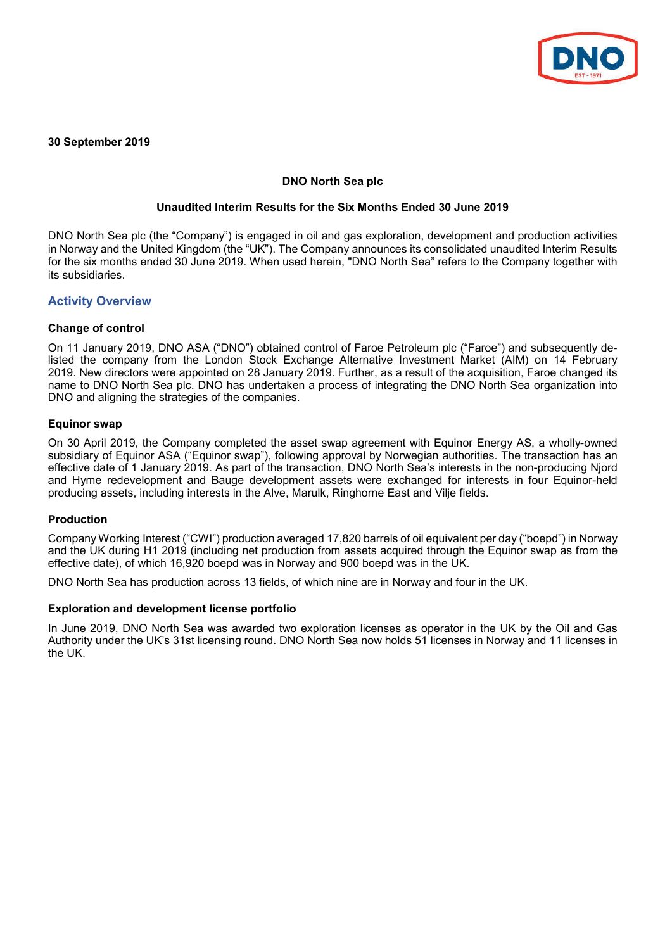

**30 September 2019**

## **DNO North Sea plc**

### **Unaudited Interim Results for the Six Months Ended 30 June 2019**

DNO North Sea plc (the "Company") is engaged in oil and gas exploration, development and production activities in Norway and the United Kingdom (the "UK"). The Company announces its consolidated unaudited Interim Results for the six months ended 30 June 2019. When used herein, "DNO North Sea" refers to the Company together with its subsidiaries.

## **Activity Overview**

## **Change of control**

On 11 January 2019, DNO ASA ("DNO") obtained control of Faroe Petroleum plc ("Faroe") and subsequently delisted the company from the London Stock Exchange Alternative Investment Market (AIM) on 14 February 2019. New directors were appointed on 28 January 2019. Further, as a result of the acquisition, Faroe changed its name to DNO North Sea plc. DNO has undertaken a process of integrating the DNO North Sea organization into DNO and aligning the strategies of the companies.

## **Equinor swap**

On 30 April 2019, the Company completed the asset swap agreement with Equinor Energy AS, a wholly-owned subsidiary of Equinor ASA ("Equinor swap"), following approval by Norwegian authorities. The transaction has an effective date of 1 January 2019. As part of the transaction, DNO North Sea's interests in the non-producing Njord and Hyme redevelopment and Bauge development assets were exchanged for interests in four Equinor-held producing assets, including interests in the Alve, Marulk, Ringhorne East and Vilje fields.

### **Production**

Company Working Interest ("CWI") production averaged 17,820 barrels of oil equivalent per day ("boepd") in Norway and the UK during H1 2019 (including net production from assets acquired through the Equinor swap as from the effective date), of which 16,920 boepd was in Norway and 900 boepd was in the UK.

DNO North Sea has production across 13 fields, of which nine are in Norway and four in the UK.

### **Exploration and development license portfolio**

In June 2019, DNO North Sea was awarded two exploration licenses as operator in the UK by the Oil and Gas Authority under the UK's 31st licensing round. DNO North Sea now holds 51 licenses in Norway and 11 licenses in the UK.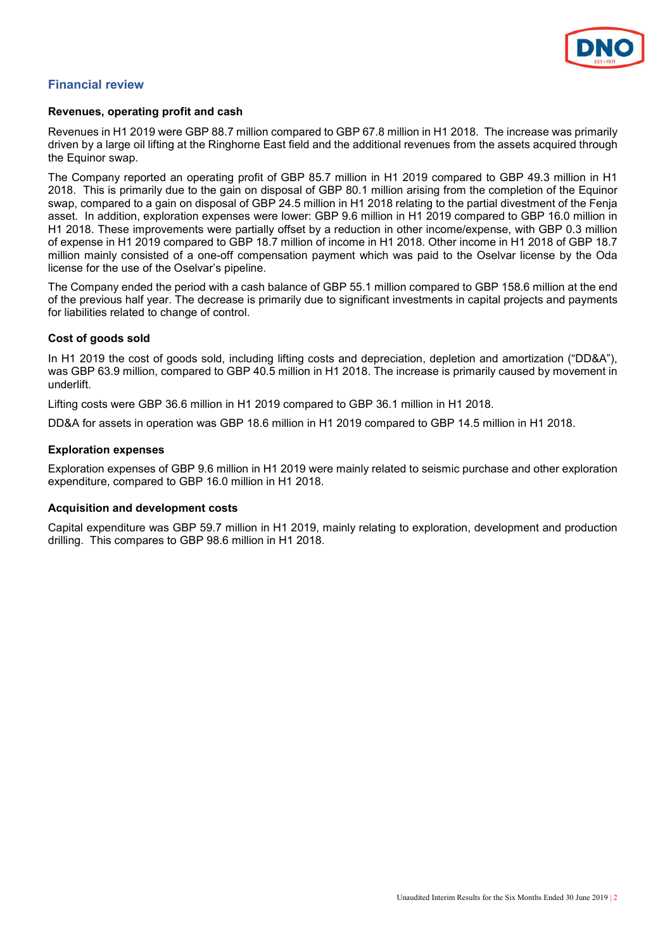

## **Financial review**

### **Revenues, operating profit and cash**

Revenues in H1 2019 were GBP 88.7 million compared to GBP 67.8 million in H1 2018. The increase was primarily driven by a large oil lifting at the Ringhorne East field and the additional revenues from the assets acquired through the Equinor swap.

The Company reported an operating profit of GBP 85.7 million in H1 2019 compared to GBP 49.3 million in H1 2018. This is primarily due to the gain on disposal of GBP 80.1 million arising from the completion of the Equinor swap, compared to a gain on disposal of GBP 24.5 million in H1 2018 relating to the partial divestment of the Fenja asset. In addition, exploration expenses were lower: GBP 9.6 million in H1 2019 compared to GBP 16.0 million in H1 2018. These improvements were partially offset by a reduction in other income/expense, with GBP 0.3 million of expense in H1 2019 compared to GBP 18.7 million of income in H1 2018. Other income in H1 2018 of GBP 18.7 million mainly consisted of a one-off compensation payment which was paid to the Oselvar license by the Oda license for the use of the Oselvar's pipeline.

The Company ended the period with a cash balance of GBP 55.1 million compared to GBP 158.6 million at the end of the previous half year. The decrease is primarily due to significant investments in capital projects and payments for liabilities related to change of control.

## **Cost of goods sold**

In H1 2019 the cost of goods sold, including lifting costs and depreciation, depletion and amortization ("DD&A"), was GBP 63.9 million, compared to GBP 40.5 million in H1 2018. The increase is primarily caused by movement in underlift.

Lifting costs were GBP 36.6 million in H1 2019 compared to GBP 36.1 million in H1 2018.

DD&A for assets in operation was GBP 18.6 million in H1 2019 compared to GBP 14.5 million in H1 2018.

## **Exploration expenses**

Exploration expenses of GBP 9.6 million in H1 2019 were mainly related to seismic purchase and other exploration expenditure, compared to GBP 16.0 million in H1 2018.

## **Acquisition and development costs**

Capital expenditure was GBP 59.7 million in H1 2019, mainly relating to exploration, development and production drilling. This compares to GBP 98.6 million in H1 2018.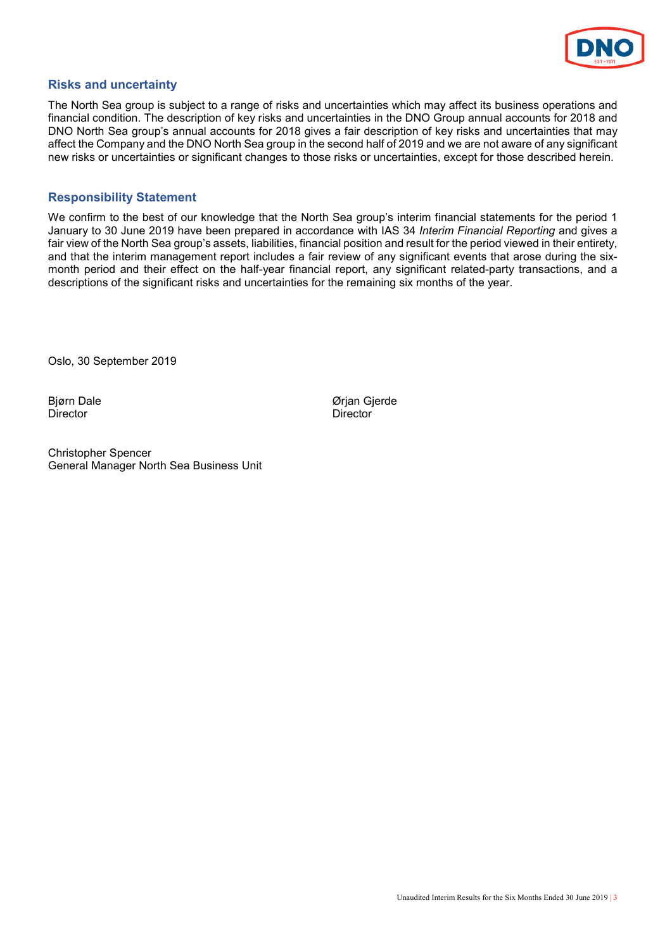

## **Risks and uncertainty**

The North Sea group is subject to a range of risks and uncertainties which may affect its business operations and financial condition. The description of key risks and uncertainties in the DNO Group annual accounts for 2018 and DNO North Sea group's annual accounts for 2018 gives a fair description of key risks and uncertainties that may affect the Company and the DNO North Sea group in the second half of 2019 and we are not aware of any significant new risks or uncertainties or significant changes to those risks or uncertainties, except for those described herein.

## **Responsibility Statement**

We confirm to the best of our knowledge that the North Sea group's interim financial statements for the period 1 January to 30 June 2019 have been prepared in accordance with IAS 34 *Interim Financial Reporting* and gives a fair view of the North Sea group's assets, liabilities, financial position and result for the period viewed in their entirety, and that the interim management report includes a fair review of any significant events that arose during the sixmonth period and their effect on the half-year financial report, any significant related-party transactions, and a descriptions of the significant risks and uncertainties for the remaining six months of the year.

Oslo, 30 September 2019

Bjørn Dale Ørjan Gjerde Director

Christopher Spencer General Manager North Sea Business Unit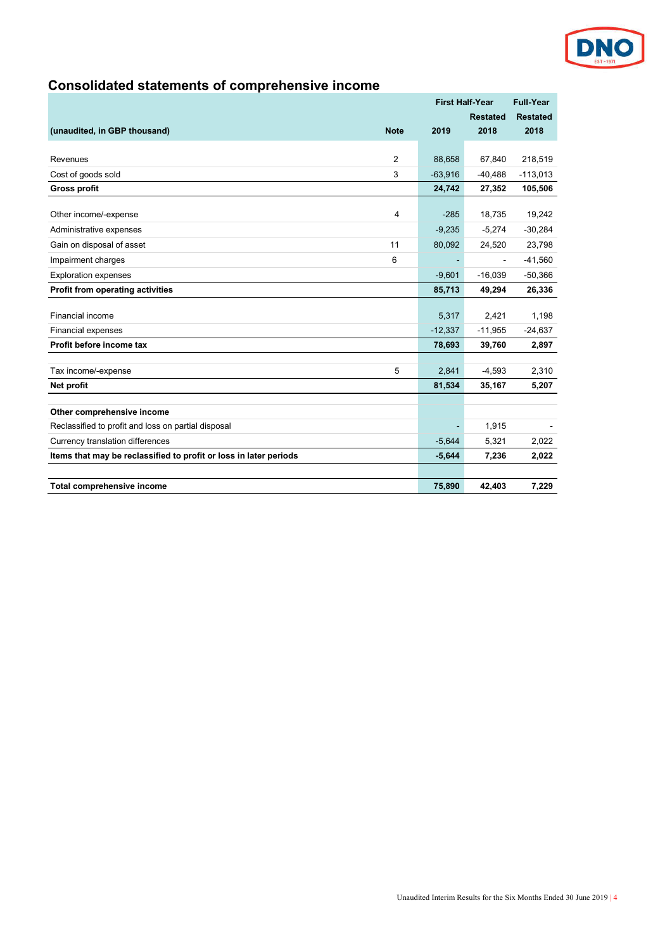

# **Consolidated statements of comprehensive income**

|                                                                   |           | <b>First Half-Year</b> |                 |
|-------------------------------------------------------------------|-----------|------------------------|-----------------|
|                                                                   |           | <b>Restated</b>        | <b>Restated</b> |
| (unaudited, in GBP thousand)<br><b>Note</b>                       | 2019      | 2018                   | 2018            |
|                                                                   |           |                        |                 |
| 2<br>Revenues                                                     | 88,658    | 67,840                 | 218,519         |
| 3<br>Cost of goods sold                                           | $-63,916$ | $-40,488$              | $-113,013$      |
| <b>Gross profit</b>                                               | 24,742    | 27,352                 | 105,506         |
| Other income/-expense<br>4                                        | $-285$    | 18,735                 | 19,242          |
|                                                                   |           |                        |                 |
| Administrative expenses                                           | $-9,235$  | $-5,274$               | $-30,284$       |
| Gain on disposal of asset<br>11                                   | 80,092    | 24,520                 | 23,798          |
| 6<br>Impairment charges                                           |           | $\blacksquare$         | $-41,560$       |
| <b>Exploration expenses</b>                                       | $-9,601$  | $-16,039$              | $-50,366$       |
| Profit from operating activities                                  | 85,713    | 49,294                 | 26,336          |
|                                                                   |           |                        |                 |
| Financial income                                                  | 5,317     | 2,421                  | 1,198           |
| <b>Financial expenses</b>                                         | $-12,337$ | $-11,955$              | $-24,637$       |
| Profit before income tax                                          | 78,693    | 39,760                 | 2,897           |
| Tax income/-expense<br>5                                          | 2,841     | $-4,593$               | 2,310           |
| Net profit                                                        | 81,534    | 35,167                 | 5,207           |
|                                                                   |           |                        |                 |
| Other comprehensive income                                        |           |                        |                 |
| Reclassified to profit and loss on partial disposal               |           | 1,915                  |                 |
| Currency translation differences                                  | $-5,644$  | 5,321                  | 2,022           |
| Items that may be reclassified to profit or loss in later periods | $-5,644$  | 7,236                  | 2,022           |
|                                                                   |           |                        |                 |
| Total comprehensive income                                        | 75,890    | 42,403                 | 7,229           |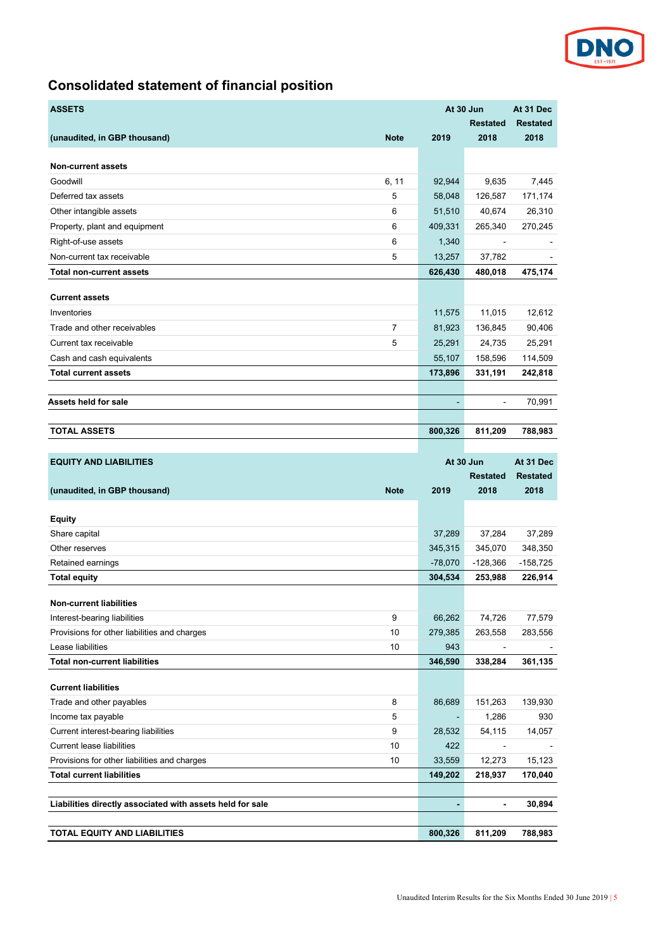

# **Consolidated statement of financial position**

| <b>ASSETS</b>                                             | At 30 Jun                |                          | At 31 Dec       |
|-----------------------------------------------------------|--------------------------|--------------------------|-----------------|
|                                                           |                          | <b>Restated</b>          | <b>Restated</b> |
| (unaudited, in GBP thousand)<br><b>Note</b>               | 2019                     | 2018                     | 2018            |
|                                                           |                          |                          |                 |
| <b>Non-current assets</b>                                 |                          |                          |                 |
| Goodwill<br>6, 11                                         | 92,944                   | 9,635                    | 7,445           |
| 5<br>Deferred tax assets                                  | 58,048                   | 126,587                  | 171,174         |
| 6<br>Other intangible assets                              | 51,510                   | 40,674                   | 26,310          |
| 6<br>Property, plant and equipment                        | 409,331                  | 265,340                  | 270,245         |
| 6<br>Right-of-use assets                                  | 1,340                    |                          |                 |
| 5<br>Non-current tax receivable                           | 13,257                   | 37,782                   |                 |
| <b>Total non-current assets</b>                           | 626,430                  | 480,018                  | 475,174         |
| <b>Current assets</b>                                     |                          |                          |                 |
| Inventories                                               | 11,575                   | 11,015                   | 12,612          |
| 7<br>Trade and other receivables                          | 81,923                   | 136,845                  | 90,406          |
| 5<br>Current tax receivable                               | 25,291                   | 24,735                   | 25,291          |
| Cash and cash equivalents                                 | 55,107                   | 158,596                  | 114,509         |
| <b>Total current assets</b>                               | 173,896                  | 331,191                  | 242,818         |
|                                                           |                          |                          |                 |
| Assets held for sale                                      |                          | $\blacksquare$           | 70,991          |
|                                                           |                          |                          |                 |
| <b>TOTAL ASSETS</b>                                       | 800,326                  | 811,209                  | 788,983         |
|                                                           |                          |                          |                 |
| <b>EQUITY AND LIABILITIES</b>                             | At 30 Jun                |                          | At 31 Dec       |
|                                                           |                          |                          |                 |
|                                                           |                          | Restated                 | <b>Restated</b> |
| (unaudited, in GBP thousand)<br><b>Note</b>               | 2019                     | 2018                     | 2018            |
|                                                           |                          |                          |                 |
| <b>Equity</b><br>Share capital                            | 37,289                   | 37,284                   | 37,289          |
| Other reserves                                            | 345,315                  | 345,070                  | 348,350         |
| Retained earnings                                         | $-78,070$                | $-128,366$               | $-158,725$      |
| <b>Total equity</b>                                       | 304,534                  | 253,988                  | 226,914         |
|                                                           |                          |                          |                 |
| <b>Non-current liabilities</b>                            |                          |                          |                 |
| 9<br>Interest-bearing liabilities                         | 66,262                   | 74,726                   | 77,579          |
| 10<br>Provisions for other liabilities and charges        | 279,385                  | 263,558                  | 283,556         |
| Lease liabilities<br>10                                   | 943                      |                          |                 |
| <b>Total non-current liabilities</b>                      | 346,590                  | 338,284                  | 361,135         |
| <b>Current liabilities</b>                                |                          |                          |                 |
| Trade and other payables<br>8                             | 86,689                   | 151,263                  | 139,930         |
| Income tax payable<br>5                                   | ۰                        | 1,286                    | 930             |
| 9<br>Current interest-bearing liabilities                 | 28,532                   | 54,115                   | 14,057          |
| <b>Current lease liabilities</b><br>10                    | 422                      | $\blacksquare$           |                 |
| 10<br>Provisions for other liabilities and charges        | 33,559                   | 12,273                   | 15,123          |
| <b>Total current liabilities</b>                          | 149,202                  | 218,937                  | 170,040         |
|                                                           |                          |                          |                 |
| Liabilities directly associated with assets held for sale | $\overline{\phantom{0}}$ | $\overline{\phantom{a}}$ | 30,894          |
|                                                           |                          |                          |                 |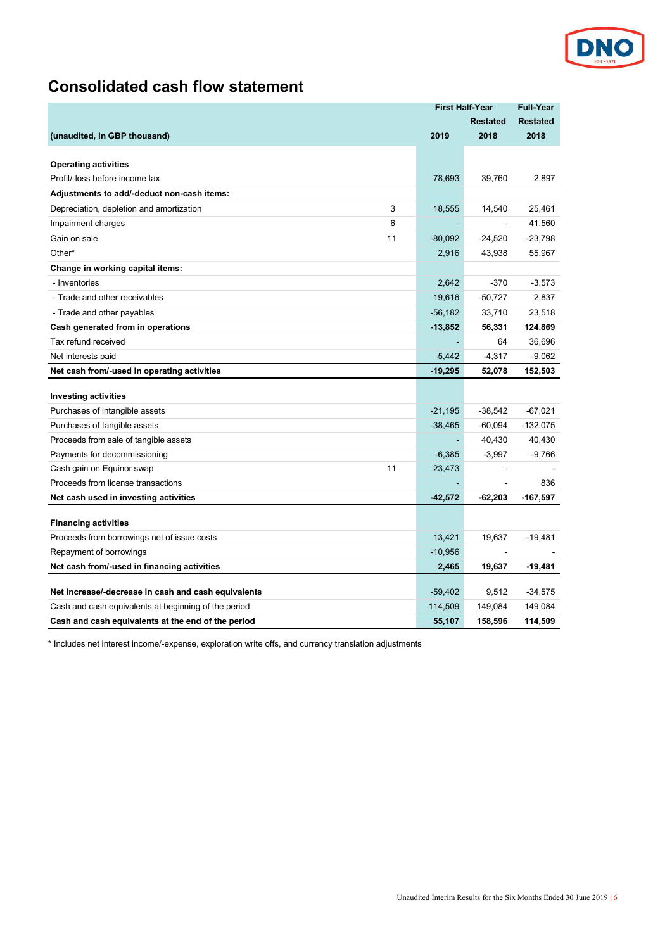

# **Consolidated cash flow statement**

|                                                                                                                                                                   | <b>First Half-Year</b>         |                             | <b>Full-Year</b>                |
|-------------------------------------------------------------------------------------------------------------------------------------------------------------------|--------------------------------|-----------------------------|---------------------------------|
|                                                                                                                                                                   |                                | <b>Restated</b>             | <b>Restated</b>                 |
| (unaudited, in GBP thousand)                                                                                                                                      | 2019                           | 2018                        | 2018                            |
|                                                                                                                                                                   |                                |                             |                                 |
| <b>Operating activities</b>                                                                                                                                       |                                |                             |                                 |
| Profit/-loss before income tax                                                                                                                                    | 78,693                         | 39,760                      | 2,897                           |
| Adjustments to add/-deduct non-cash items:                                                                                                                        |                                |                             |                                 |
| 3<br>Depreciation, depletion and amortization                                                                                                                     | 18,555                         | 14,540                      | 25,461                          |
| 6<br>Impairment charges                                                                                                                                           |                                |                             | 41,560                          |
| Gain on sale<br>11                                                                                                                                                | $-80,092$                      | $-24,520$                   | $-23,798$                       |
| Other*                                                                                                                                                            | 2,916                          | 43,938                      | 55,967                          |
| Change in working capital items:                                                                                                                                  |                                |                             |                                 |
| - Inventories                                                                                                                                                     | 2,642                          | $-370$                      | $-3,573$                        |
| - Trade and other receivables                                                                                                                                     | 19,616                         | $-50,727$                   | 2,837                           |
| - Trade and other payables                                                                                                                                        | $-56,182$                      | 33,710                      | 23,518                          |
| Cash generated from in operations                                                                                                                                 | $-13,852$                      | 56,331                      | 124,869                         |
| Tax refund received                                                                                                                                               |                                | 64                          | 36,696                          |
| Net interests paid                                                                                                                                                | $-5,442$                       | $-4,317$                    | $-9,062$                        |
| Net cash from/-used in operating activities                                                                                                                       | $-19,295$                      | 52,078                      | 152,503                         |
|                                                                                                                                                                   |                                |                             |                                 |
| <b>Investing activities</b>                                                                                                                                       | $-21,195$                      | $-38,542$                   | $-67,021$                       |
| Purchases of intangible assets<br>Purchases of tangible assets                                                                                                    | $-38,465$                      | $-60,094$                   | $-132,075$                      |
| Proceeds from sale of tangible assets                                                                                                                             |                                | 40,430                      | 40,430                          |
| Payments for decommissioning                                                                                                                                      | $-6,385$                       | $-3,997$                    | $-9,766$                        |
| 11<br>Cash gain on Equinor swap                                                                                                                                   | 23,473                         |                             |                                 |
| Proceeds from license transactions                                                                                                                                |                                | ÷,                          | 836                             |
| Net cash used in investing activities                                                                                                                             | $-42,572$                      | -62,203                     | $-167,597$                      |
|                                                                                                                                                                   |                                |                             |                                 |
| <b>Financing activities</b>                                                                                                                                       |                                |                             |                                 |
| Proceeds from borrowings net of issue costs                                                                                                                       | 13,421                         | 19,637                      | -19,481                         |
| Repayment of borrowings                                                                                                                                           | $-10,956$                      |                             |                                 |
| Net cash from/-used in financing activities                                                                                                                       | 2,465                          | 19,637                      | -19,481                         |
|                                                                                                                                                                   |                                |                             |                                 |
|                                                                                                                                                                   |                                |                             |                                 |
|                                                                                                                                                                   |                                |                             |                                 |
| Net increase/-decrease in cash and cash equivalents<br>Cash and cash equivalents at beginning of the period<br>Cash and cash equivalents at the end of the period | $-59,402$<br>114,509<br>55,107 | 9,512<br>149,084<br>158,596 | $-34,575$<br>149,084<br>114.509 |

\* Includes net interest income/-expense, exploration write offs, and currency translation adjustments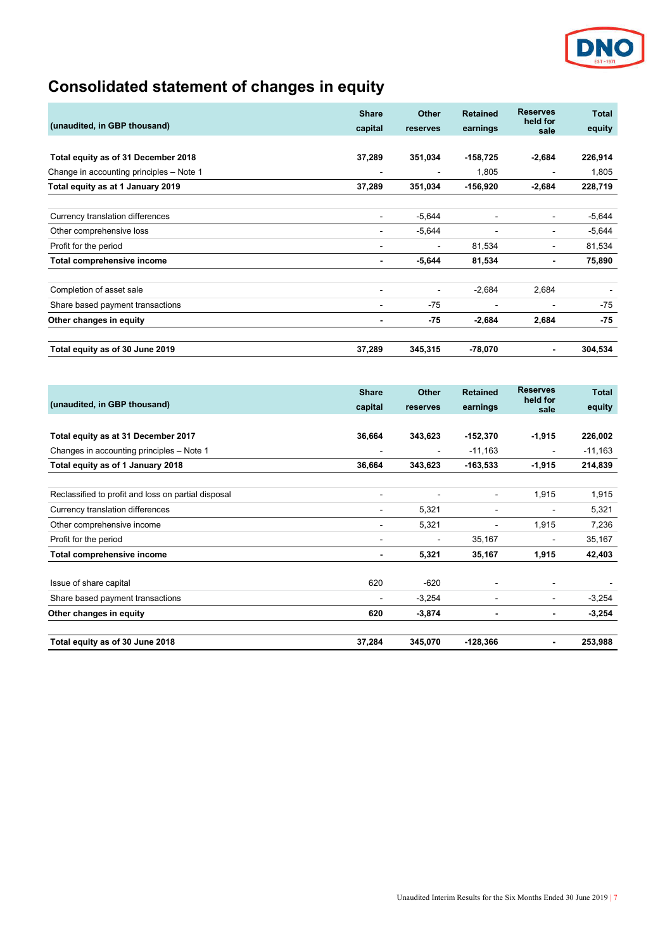

# **Consolidated statement of changes in equity**

|                                          | <b>Share</b>             | <b>Other</b>   | <b>Retained</b> | <b>Reserves</b><br>held for | <b>Total</b> |
|------------------------------------------|--------------------------|----------------|-----------------|-----------------------------|--------------|
| (unaudited, in GBP thousand)             | capital                  | reserves       | earnings        | sale                        | equity       |
|                                          |                          |                |                 |                             |              |
| Total equity as of 31 December 2018      | 37,289                   | 351,034        | $-158,725$      | $-2,684$                    | 226,914      |
| Change in accounting principles - Note 1 |                          | $\blacksquare$ | 1,805           | $\blacksquare$              | 1,805        |
| Total equity as at 1 January 2019        | 37,289                   | 351,034        | $-156,920$      | $-2,684$                    | 228,719      |
|                                          |                          |                |                 |                             |              |
| Currency translation differences         | $\overline{\phantom{0}}$ | $-5,644$       |                 | $\blacksquare$              | $-5,644$     |
| Other comprehensive loss                 |                          | $-5,644$       |                 | $\blacksquare$              | $-5,644$     |
| Profit for the period                    | $\overline{\phantom{0}}$ | $\blacksquare$ | 81,534          | $\blacksquare$              | 81,534       |
| Total comprehensive income               | ٠                        | $-5,644$       | 81,534          | $\blacksquare$              | 75,890       |
| Completion of asset sale                 | $\blacksquare$           | $\blacksquare$ | $-2,684$        | 2,684                       |              |
| Share based payment transactions         | $\overline{\phantom{0}}$ | $-75$          | $\blacksquare$  | $\blacksquare$              | $-75$        |
| Other changes in equity                  |                          | -75            | $-2,684$        | 2,684                       | $-75$        |
| Total equity as of 30 June 2019          | 37,289                   | 345,315        | -78,070         | $\blacksquare$              | 304,534      |

|                                                     | <b>Share</b> | <b>Other</b>                 | <b>Retained</b> | <b>Reserves</b>              | <b>Total</b> |
|-----------------------------------------------------|--------------|------------------------------|-----------------|------------------------------|--------------|
| (unaudited, in GBP thousand)                        | capital      | reserves                     | earnings        | held for<br>sale             | equity       |
|                                                     |              |                              |                 |                              |              |
| Total equity as at 31 December 2017                 | 36,664       | 343,623                      | $-152,370$      | $-1,915$                     | 226,002      |
| Changes in accounting principles - Note 1           |              | $\blacksquare$               | $-11,163$       | $\blacksquare$               | $-11,163$    |
| Total equity as of 1 January 2018                   | 36,664       | 343,623                      | $-163,533$      | $-1,915$                     | 214,839      |
|                                                     |              |                              |                 |                              |              |
| Reclassified to profit and loss on partial disposal | ٠            | $\blacksquare$               | $\sim$          | 1,915                        | 1,915        |
| Currency translation differences                    | -            | 5,321                        | $\blacksquare$  | $\blacksquare$               | 5,321        |
| Other comprehensive income                          |              | 5,321                        | $\sim$          | 1,915                        | 7,236        |
| Profit for the period                               | -            | $\qquad \qquad \blacksquare$ | 35,167          | $\qquad \qquad \blacksquare$ | 35,167       |
| Total comprehensive income                          |              | 5,321                        | 35,167          | 1,915                        | 42,403       |
| Issue of share capital                              | 620          | $-620$                       |                 | $\blacksquare$               |              |
| Share based payment transactions                    | -            | $-3,254$                     | ۰               | $\blacksquare$               | $-3,254$     |
| Other changes in equity                             | 620          | $-3,874$                     | $\blacksquare$  | $\blacksquare$               | $-3,254$     |
| Total equity as of 30 June 2018                     | 37,284       | 345,070                      | $-128,366$      | $\blacksquare$               | 253,988      |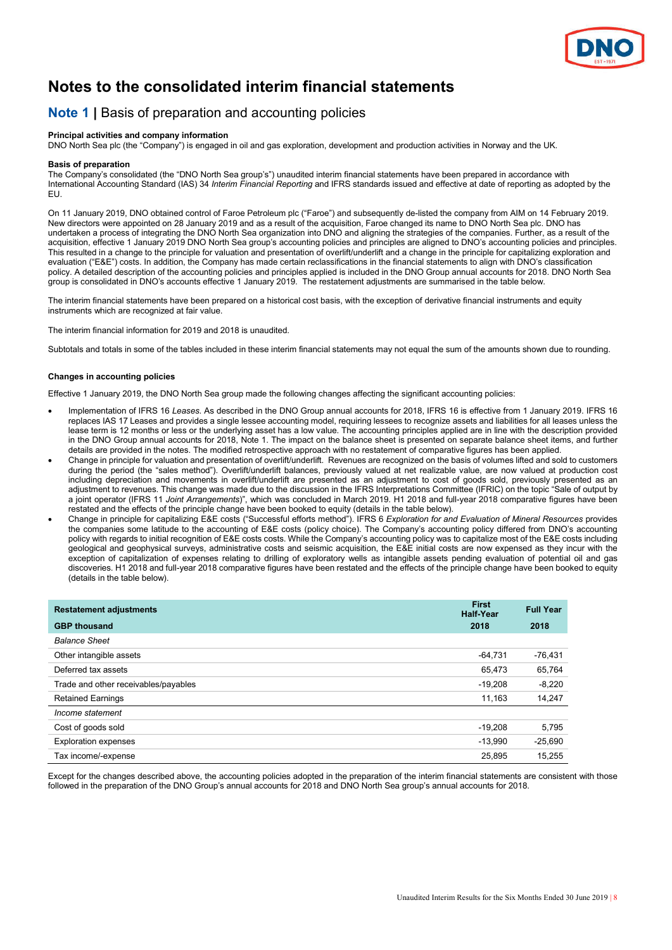

# **Notes to the consolidated interim financial statements**

## **Note 1 |** Basis of preparation and accounting policies

#### **Principal activities and company information**

DNO North Sea plc (the "Company") is engaged in oil and gas exploration, development and production activities in Norway and the UK.

#### **Basis of preparation**

The Company's consolidated (the "DNO North Sea group's") unaudited interim financial statements have been prepared in accordance with International Accounting Standard (IAS) 34 *Interim Financial Reporting* and IFRS standards issued and effective at date of reporting as adopted by the EU.

On 11 January 2019, DNO obtained control of Faroe Petroleum plc ("Faroe") and subsequently de-listed the company from AIM on 14 February 2019. New directors were appointed on 28 January 2019 and as a result of the acquisition, Faroe changed its name to DNO North Sea plc. DNO has undertaken a process of integrating the DNO North Sea organization into DNO and aligning the strategies of the companies. Further, as a result of the acquisition, effective 1 January 2019 DNO North Sea group's accounting policies and principles are aligned to DNO's accounting policies and principles. This resulted in a change to the principle for valuation and presentation of overlift/underlift and a change in the principle for capitalizing exploration and evaluation ("E&E") costs. In addition, the Company has made certain reclassifications in the financial statements to align with DNO's classification policy. A detailed description of the accounting policies and principles applied is included in the DNO Group annual accounts for 2018. DNO North Sea group is consolidated in DNO's accounts effective 1 January 2019. The restatement adjustments are summarised in the table below.

The interim financial statements have been prepared on a historical cost basis, with the exception of derivative financial instruments and equity instruments which are recognized at fair value.

The interim financial information for 2019 and 2018 is unaudited.

Subtotals and totals in some of the tables included in these interim financial statements may not equal the sum of the amounts shown due to rounding.

#### **Changes in accounting policies**

Effective 1 January 2019, the DNO North Sea group made the following changes affecting the significant accounting policies:

- Implementation of IFRS 16 *Leases*. As described in the DNO Group annual accounts for 2018, IFRS 16 is effective from 1 January 2019. IFRS 16 replaces IAS 17 Leases and provides a single lessee accounting model, requiring lessees to recognize assets and liabilities for all leases unless the lease term is 12 months or less or the underlying asset has a low value. The accounting principles applied are in line with the description provided in the DNO Group annual accounts for 2018, Note 1. The impact on the balance sheet is presented on separate balance sheet items, and further details are provided in the notes. The modified retrospective approach with no restatement of comparative figures has been applied.
- Change in principle for valuation and presentation of overlift/underlift. Revenues are recognized on the basis of volumes lifted and sold to customers during the period (the "sales method"). Overlift/underlift balances, previously valued at net realizable value, are now valued at production cost including depreciation and movements in overlift/underlift are presented as an adjustment to cost of goods sold, previously presented as an adjustment to revenues. This change was made due to the discussion in the IFRS Interpretations Committee (IFRIC) on the topic "Sale of output by a joint operator (IFRS 11 *Joint Arrangements*)", which was concluded in March 2019. H1 2018 and full-year 2018 comparative figures have been restated and the effects of the principle change have been booked to equity (details in the table below).
- Change in principle for capitalizing E&E costs ("Successful efforts method"). IFRS 6 *Exploration for and Evaluation of Mineral Resources* provides the companies some latitude to the accounting of E&E costs (policy choice). The Company's accounting policy differed from DNO's accounting policy with regards to initial recognition of E&E costs costs. While the Company's accounting policy was to capitalize most of the E&E costs including geological and geophysical surveys, administrative costs and seismic acquisition, the E&E initial costs are now expensed as they incur with the exception of capitalization of expenses relating to drilling of exploratory wells as intangible assets pending evaluation of potential oil and gas discoveries. H1 2018 and full-year 2018 comparative figures have been restated and the effects of the principle change have been booked to equity (details in the table below).

| <b>Restatement adjustments</b>       | <b>First</b><br><b>Half-Year</b> | <b>Full Year</b> |  |
|--------------------------------------|----------------------------------|------------------|--|
| <b>GBP thousand</b>                  | 2018                             | 2018             |  |
| <b>Balance Sheet</b>                 |                                  |                  |  |
| Other intangible assets              | $-64,731$                        | -76,431          |  |
| Deferred tax assets                  | 65,473                           | 65,764           |  |
| Trade and other receivables/payables | $-19,208$                        | $-8,220$         |  |
| <b>Retained Earnings</b>             | 11,163                           | 14,247           |  |
| Income statement                     |                                  |                  |  |
| Cost of goods sold                   | $-19.208$                        | 5,795            |  |
| <b>Exploration expenses</b>          | $-13.990$                        | $-25,690$        |  |
| Tax income/-expense                  | 25.895                           | 15.255           |  |

Except for the changes described above, the accounting policies adopted in the preparation of the interim financial statements are consistent with those followed in the preparation of the DNO Group's annual accounts for 2018 and DNO North Sea group's annual accounts for 2018.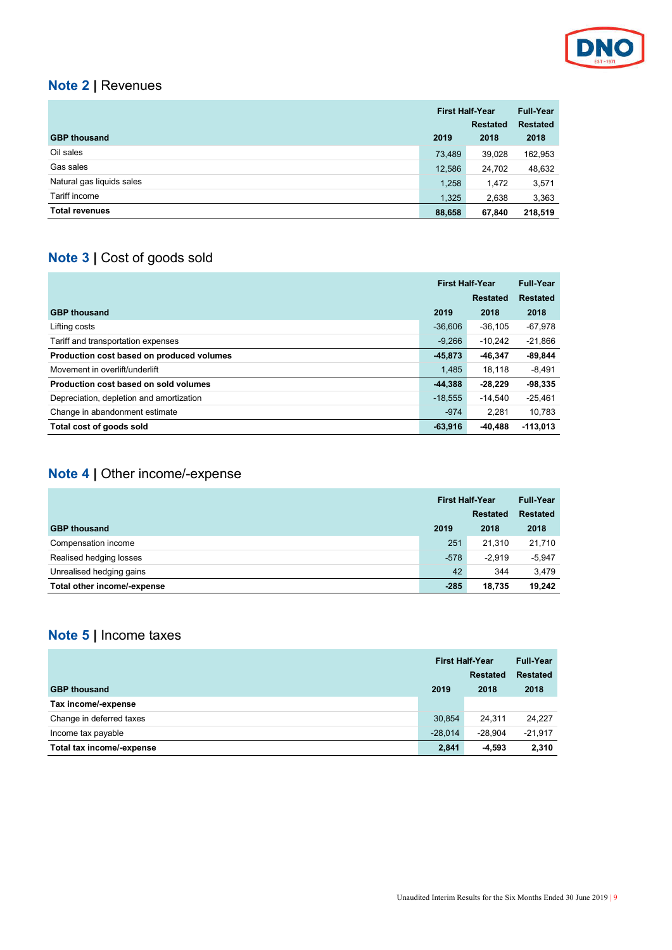

# **Note 2 |** Revenues

|                           | <b>First Half-Year</b> |                 | Full-Year       |
|---------------------------|------------------------|-----------------|-----------------|
|                           |                        | <b>Restated</b> | <b>Restated</b> |
| <b>GBP thousand</b>       | 2019                   | 2018            | 2018            |
| Oil sales                 | 73.489                 | 39,028          | 162,953         |
| Gas sales                 | 12,586                 | 24,702          | 48,632          |
| Natural gas liquids sales | 1,258                  | 1,472           | 3,571           |
| Tariff income             | 1,325                  | 2,638           | 3,363           |
| <b>Total revenues</b>     | 88,658                 | 67,840          | 218,519         |

# **Note 3 |** Cost of goods sold

|                                           | <b>First Half-Year</b> |                 | <b>Full-Year</b> |
|-------------------------------------------|------------------------|-----------------|------------------|
|                                           |                        | <b>Restated</b> | <b>Restated</b>  |
| <b>GBP thousand</b>                       | 2019                   | 2018            | 2018             |
| Lifting costs                             | $-36.606$              | $-36,105$       | $-67,978$        |
| Tariff and transportation expenses        | $-9.266$               | $-10.242$       | $-21,866$        |
| Production cost based on produced volumes | $-45.873$              | $-46.347$       | $-89,844$        |
| Movement in overlift/underlift            | 1.485                  | 18.118          | $-8,491$         |
| Production cost based on sold volumes     | $-44,388$              | $-28.229$       | $-98,335$        |
| Depreciation, depletion and amortization  | $-18.555$              | $-14.540$       | $-25.461$        |
| Change in abandonment estimate            | $-974$                 | 2.281           | 10,783           |
| Total cost of goods sold                  | $-63,916$              | $-40.488$       | $-113.013$       |

# **Note 4 |** Other income/-expense

|                             | <b>First Half-Year</b> |                 | <b>Full-Year</b> |
|-----------------------------|------------------------|-----------------|------------------|
|                             |                        | <b>Restated</b> | <b>Restated</b>  |
| <b>GBP thousand</b>         | 2019                   | 2018            | 2018             |
| Compensation income         | 251                    | 21.310          | 21,710           |
| Realised hedging losses     | $-578$                 | $-2.919$        | $-5,947$         |
| Unrealised hedging gains    | 42                     | 344             | 3,479            |
| Total other income/-expense | $-285$                 | 18.735          | 19.242           |

# **Note 5 |** Income taxes

|                           | <b>First Half-Year</b> |                 | <b>Full-Year</b> |
|---------------------------|------------------------|-----------------|------------------|
|                           |                        | <b>Restated</b> | <b>Restated</b>  |
| <b>GBP thousand</b>       | 2019                   | 2018            | 2018             |
| Tax income/-expense       |                        |                 |                  |
| Change in deferred taxes  | 30.854                 | 24.311          | 24.227           |
| Income tax payable        | $-28.014$              | $-28.904$       | $-21,917$        |
| Total tax income/-expense | 2.841                  | $-4.593$        | 2,310            |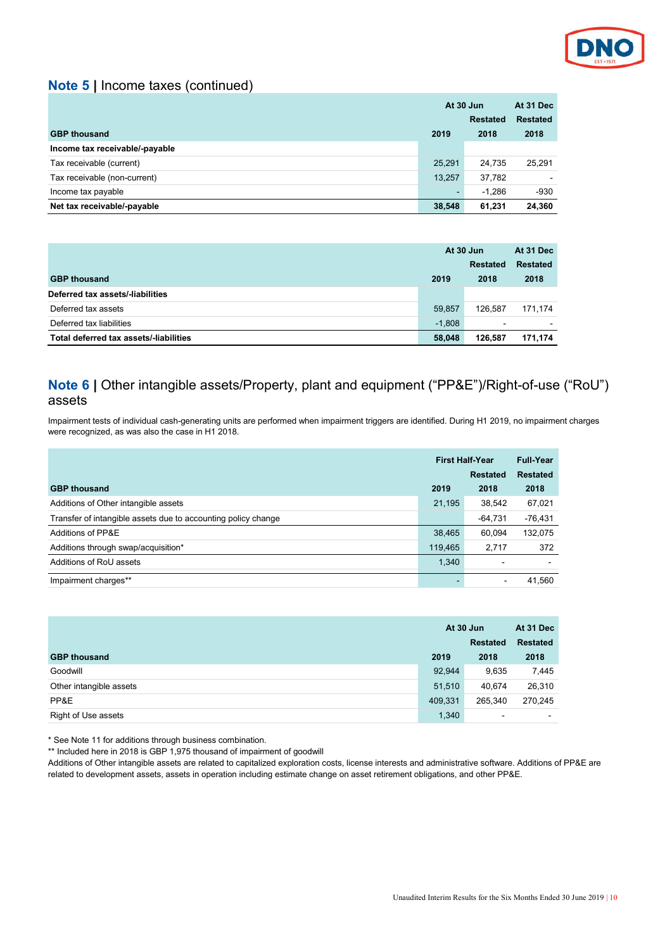

## **Note 5 |** Income taxes (continued)

|                                | At 30 Jun |                 | At 31 Dec       |
|--------------------------------|-----------|-----------------|-----------------|
|                                |           | <b>Restated</b> | <b>Restated</b> |
| <b>GBP thousand</b>            | 2019      | 2018            | 2018            |
| Income tax receivable/-payable |           |                 |                 |
| Tax receivable (current)       | 25.291    | 24.735          | 25.291          |
| Tax receivable (non-current)   | 13,257    | 37,782          |                 |
| Income tax payable             | ٠         | $-1.286$        | $-930$          |
| Net tax receivable/-payable    | 38,548    | 61,231          | 24,360          |

|                                        | At 30 Jun |                          | At 31 Dec       |
|----------------------------------------|-----------|--------------------------|-----------------|
|                                        |           | <b>Restated</b>          | <b>Restated</b> |
| <b>GBP thousand</b>                    | 2019      | 2018                     | 2018            |
| Deferred tax assets/-liabilities       |           |                          |                 |
| Deferred tax assets                    | 59,857    | 126.587                  | 171.174         |
| Deferred tax liabilities               | $-1.808$  | $\overline{\phantom{0}}$ |                 |
| Total deferred tax assets/-liabilities | 58,048    | 126.587                  | 171,174         |

## **Note 6 |** Other intangible assets/Property, plant and equipment ("PP&E")/Right-of-use ("RoU") assets

Impairment tests of individual cash-generating units are performed when impairment triggers are identified. During H1 2019, no impairment charges were recognized, as was also the case in H1 2018.

|                                                               | <b>First Half-Year</b> |                 | <b>Full-Year</b> |
|---------------------------------------------------------------|------------------------|-----------------|------------------|
|                                                               |                        | <b>Restated</b> | <b>Restated</b>  |
| <b>GBP thousand</b>                                           | 2019                   | 2018            | 2018             |
| Additions of Other intangible assets                          | 21,195                 | 38,542          | 67,021           |
| Transfer of intangible assets due to accounting policy change |                        | $-64,731$       | -76,431          |
| Additions of PP&E                                             | 38,465                 | 60.094          | 132,075          |
| Additions through swap/acquisition*                           | 119,465                | 2.717           | 372              |
| Additions of RoU assets                                       | 1,340                  |                 |                  |
| Impairment charges**                                          |                        |                 | 41,560           |

|                         | At 30 Jun<br><b>Restated</b> |                | At 31 Dec<br><b>Restated</b> |  |
|-------------------------|------------------------------|----------------|------------------------------|--|
| <b>GBP thousand</b>     | 2019                         | 2018           | 2018                         |  |
| Goodwill                | 92,944                       | 9,635          | 7,445                        |  |
| Other intangible assets | 51,510                       | 40.674         | 26,310                       |  |
| PP&E                    | 409,331                      | 265.340        | 270.245                      |  |
| Right of Use assets     | 1,340                        | $\blacksquare$ | $\overline{\phantom{0}}$     |  |

\* See Note 11 for additions through business combination.

\*\* Included here in 2018 is GBP 1,975 thousand of impairment of goodwill

Additions of Other intangible assets are related to capitalized exploration costs, license interests and administrative software. Additions of PP&E are related to development assets, assets in operation including estimate change on asset retirement obligations, and other PP&E.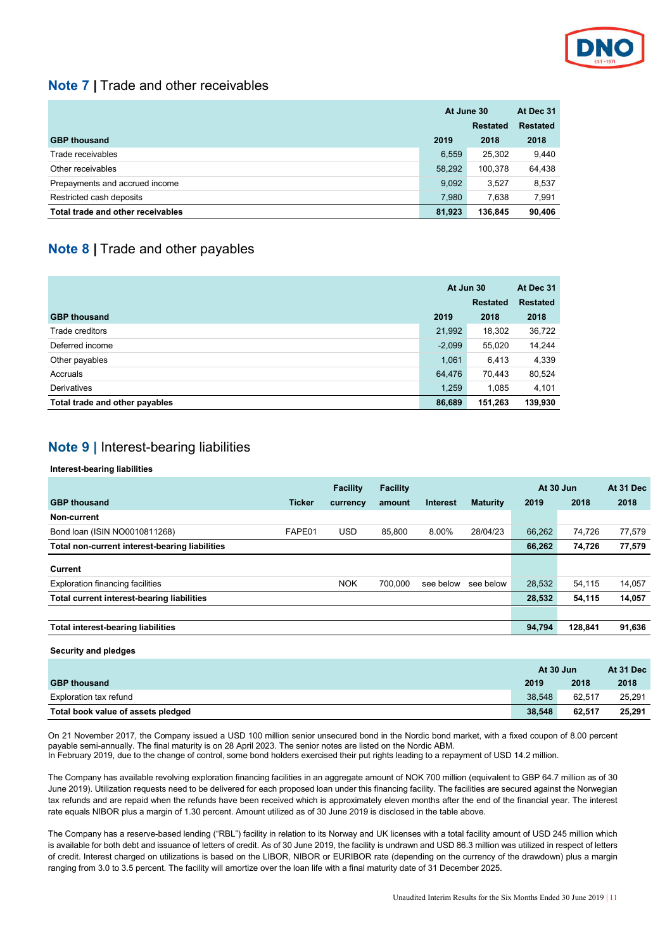

## **Note 7 |** Trade and other receivables

|                                   | At June 30 |                 | At Dec 31       |
|-----------------------------------|------------|-----------------|-----------------|
|                                   |            | <b>Restated</b> | <b>Restated</b> |
| <b>GBP thousand</b>               | 2019       | 2018            | 2018            |
| Trade receivables                 | 6,559      | 25,302          | 9.440           |
| Other receivables                 | 58.292     | 100.378         | 64,438          |
| Prepayments and accrued income    | 9,092      | 3.527           | 8,537           |
| Restricted cash deposits          | 7,980      | 7,638           | 7,991           |
| Total trade and other receivables | 81,923     | 136.845         | 90.406          |

# **Note 8 |** Trade and other payables

|                                | At Jun 30 |                 | At Dec 31       |  |
|--------------------------------|-----------|-----------------|-----------------|--|
|                                |           | <b>Restated</b> | <b>Restated</b> |  |
| <b>GBP thousand</b>            | 2019      | 2018            | 2018            |  |
| Trade creditors                | 21,992    | 18,302          | 36,722          |  |
| Deferred income                | $-2,099$  | 55,020          | 14,244          |  |
| Other payables                 | 1,061     | 6,413           | 4,339           |  |
| Accruals                       | 64,476    | 70,443          | 80,524          |  |
| Derivatives                    | 1,259     | 1,085           | 4,101           |  |
| Total trade and other payables | 86,689    | 151,263         | 139,930         |  |

# **Note 9 |** Interest-bearing liabilities

### **Interest-bearing liabilities**

**Security and pledges**

|                                                |               | <b>Facility</b> | Facility |           |                 | At 30 Jun |         | At 31 Dec |
|------------------------------------------------|---------------|-----------------|----------|-----------|-----------------|-----------|---------|-----------|
| <b>GBP thousand</b>                            | <b>Ticker</b> | currency        | amount   | Interest  | <b>Maturity</b> | 2019      | 2018    | 2018      |
| Non-current                                    |               |                 |          |           |                 |           |         |           |
| Bond loan (ISIN NO0010811268)                  | FAPE01        | <b>USD</b>      | 85.800   | 8.00%     | 28/04/23        | 66.262    | 74.726  | 77,579    |
| Total non-current interest-bearing liabilities |               |                 |          |           |                 | 66.262    | 74.726  | 77,579    |
| Current                                        |               |                 |          |           |                 |           |         |           |
| <b>Exploration financing facilities</b>        |               | <b>NOK</b>      | 700.000  | see below | see below       | 28,532    | 54,115  | 14,057    |
| Total current interest-bearing liabilities     |               |                 |          |           |                 | 28,532    | 54,115  | 14,057    |
|                                                |               |                 |          |           |                 |           |         |           |
| <b>Total interest-bearing liabilities</b>      |               |                 |          |           |                 | 94,794    | 128,841 | 91,636    |
|                                                |               |                 |          |           |                 |           |         |           |

|                                    | At 30 Jun |        | At 31 Dec |
|------------------------------------|-----------|--------|-----------|
| <b>GBP thousand</b>                | 2019      | 2018   | 2018      |
| Exploration tax refund             | 38.548    | 62.517 | 25,291    |
| Total book value of assets pledged | 38,548    | 62.517 | 25,291    |

On 21 November 2017, the Company issued a USD 100 million senior unsecured bond in the Nordic bond market, with a fixed coupon of 8.00 percent payable semi-annually. The final maturity is on 28 April 2023. The senior notes are listed on the Nordic ABM. In February 2019, due to the change of control, some bond holders exercised their put rights leading to a repayment of USD 14.2 million.

The Company has available revolving exploration financing facilities in an aggregate amount of NOK 700 million (equivalent to GBP 64.7 million as of 30 June 2019). Utilization requests need to be delivered for each proposed loan under this financing facility. The facilities are secured against the Norwegian tax refunds and are repaid when the refunds have been received which is approximately eleven months after the end of the financial year. The interest rate equals NIBOR plus a margin of 1.30 percent. Amount utilized as of 30 June 2019 is disclosed in the table above.

The Company has a reserve-based lending ("RBL") facility in relation to its Norway and UK licenses with a total facility amount of USD 245 million which is available for both debt and issuance of letters of credit. As of 30 June 2019, the facility is undrawn and USD 86.3 million was utilized in respect of letters of credit. Interest charged on utilizations is based on the LIBOR, NIBOR or EURIBOR rate (depending on the currency of the drawdown) plus a margin ranging from 3.0 to 3.5 percent. The facility will amortize over the loan life with a final maturity date of 31 December 2025.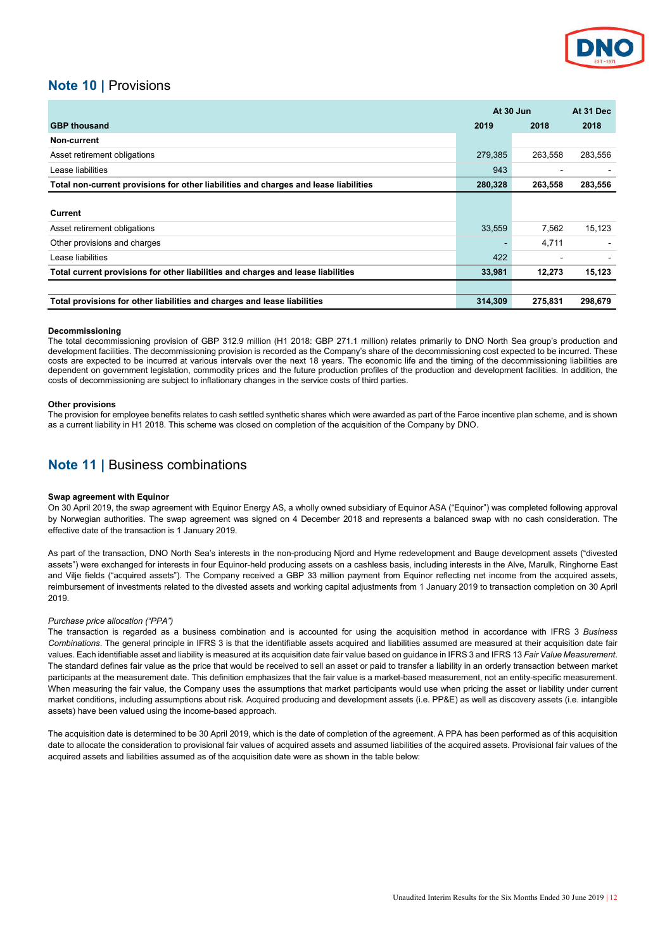

## **Note 10 |** Provisions

|                                                                                      | At 30 Jun |         | At 31 Dec |  |
|--------------------------------------------------------------------------------------|-----------|---------|-----------|--|
| <b>GBP thousand</b>                                                                  | 2019      | 2018    | 2018      |  |
| Non-current                                                                          |           |         |           |  |
| Asset retirement obligations                                                         | 279,385   | 263,558 | 283,556   |  |
| Lease liabilities                                                                    | 943       | ۰       |           |  |
| Total non-current provisions for other liabilities and charges and lease liabilities | 280,328   | 263,558 | 283,556   |  |
|                                                                                      |           |         |           |  |
| <b>Current</b>                                                                       |           |         |           |  |
| Asset retirement obligations                                                         | 33.559    | 7.562   | 15,123    |  |
| Other provisions and charges                                                         |           | 4,711   |           |  |
| Lease liabilities                                                                    | 422       |         |           |  |
| Total current provisions for other liabilities and charges and lease liabilities     | 33,981    | 12,273  | 15,123    |  |
|                                                                                      |           |         |           |  |
| Total provisions for other liabilities and charges and lease liabilities             | 314,309   | 275,831 | 298,679   |  |

#### **Decommissioning**

The total decommissioning provision of GBP 312.9 million (H1 2018: GBP 271.1 million) relates primarily to DNO North Sea group's production and development facilities. The decommissioning provision is recorded as the Company's share of the decommissioning cost expected to be incurred. These costs are expected to be incurred at various intervals over the next 18 years. The economic life and the timing of the decommissioning liabilities are dependent on government legislation, commodity prices and the future production profiles of the production and development facilities. In addition, the costs of decommissioning are subject to inflationary changes in the service costs of third parties.

#### **Other provisions**

The provision for employee benefits relates to cash settled synthetic shares which were awarded as part of the Faroe incentive plan scheme, and is shown as a current liability in H1 2018. This scheme was closed on completion of the acquisition of the Company by DNO.

## **Note 11 |** Business combinations

#### **Swap agreement with Equinor**

On 30 April 2019, the swap agreement with Equinor Energy AS, a wholly owned subsidiary of Equinor ASA ("Equinor") was completed following approval by Norwegian authorities. The swap agreement was signed on 4 December 2018 and represents a balanced swap with no cash consideration. The effective date of the transaction is 1 January 2019.

As part of the transaction, DNO North Sea's interests in the non-producing Njord and Hyme redevelopment and Bauge development assets ("divested assets") were exchanged for interests in four Equinor-held producing assets on a cashless basis, including interests in the Alve, Marulk, Ringhorne East and Vilje fields ("acquired assets"). The Company received a GBP 33 million payment from Equinor reflecting net income from the acquired assets, reimbursement of investments related to the divested assets and working capital adjustments from 1 January 2019 to transaction completion on 30 April 2019.

#### *Purchase price allocation ("PPA")*

The transaction is regarded as a business combination and is accounted for using the acquisition method in accordance with IFRS 3 *Business Combinations*. The general principle in IFRS 3 is that the identifiable assets acquired and liabilities assumed are measured at their acquisition date fair values. Each identifiable asset and liability is measured at its acquisition date fair value based on guidance in IFRS 3 and IFRS 13 *Fair Value Measurement*. The standard defines fair value as the price that would be received to sell an asset or paid to transfer a liability in an orderly transaction between market participants at the measurement date. This definition emphasizes that the fair value is a market-based measurement, not an entity-specific measurement. When measuring the fair value, the Company uses the assumptions that market participants would use when pricing the asset or liability under current market conditions, including assumptions about risk. Acquired producing and development assets (i.e. PP&E) as well as discovery assets (i.e. intangible assets) have been valued using the income-based approach.

The acquisition date is determined to be 30 April 2019, which is the date of completion of the agreement. A PPA has been performed as of this acquisition date to allocate the consideration to provisional fair values of acquired assets and assumed liabilities of the acquired assets. Provisional fair values of the acquired assets and liabilities assumed as of the acquisition date were as shown in the table below: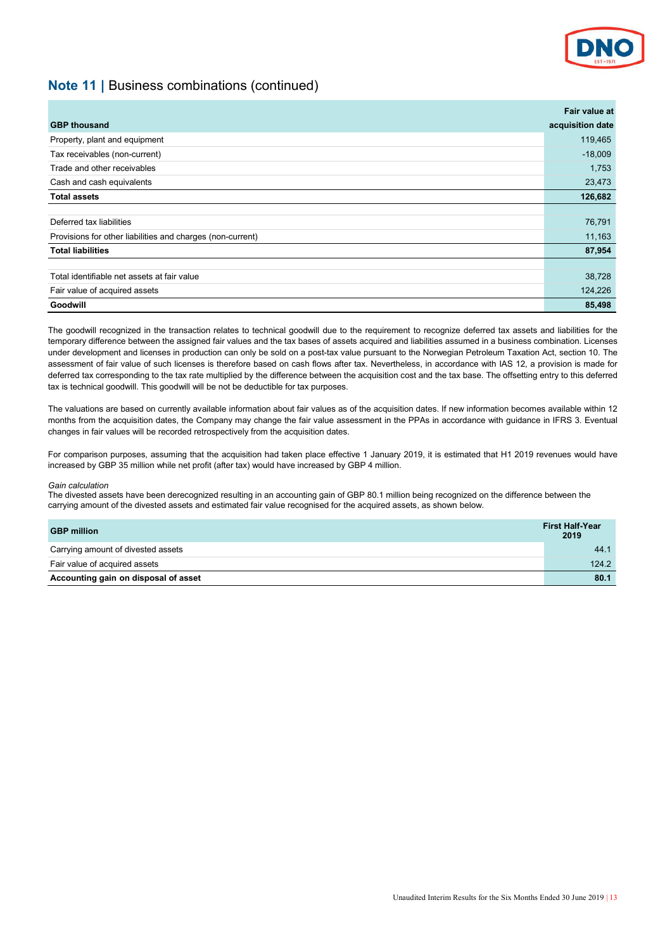

## **Note 11 |** Business combinations (continued)

|                                                            | Fair value at    |
|------------------------------------------------------------|------------------|
| <b>GBP thousand</b>                                        | acquisition date |
| Property, plant and equipment                              | 119,465          |
| Tax receivables (non-current)                              | $-18,009$        |
| Trade and other receivables                                | 1,753            |
| Cash and cash equivalents                                  | 23,473           |
| <b>Total assets</b>                                        | 126,682          |
|                                                            |                  |
| Deferred tax liabilities                                   | 76,791           |
| Provisions for other liabilities and charges (non-current) | 11,163           |
| <b>Total liabilities</b>                                   | 87,954           |
|                                                            |                  |
| Total identifiable net assets at fair value                | 38,728           |
| Fair value of acquired assets                              | 124,226          |
| Goodwill                                                   | 85,498           |

The goodwill recognized in the transaction relates to technical goodwill due to the requirement to recognize deferred tax assets and liabilities for the temporary difference between the assigned fair values and the tax bases of assets acquired and liabilities assumed in a business combination. Licenses under development and licenses in production can only be sold on a post-tax value pursuant to the Norwegian Petroleum Taxation Act, section 10. The assessment of fair value of such licenses is therefore based on cash flows after tax. Nevertheless, in accordance with IAS 12, a provision is made for deferred tax corresponding to the tax rate multiplied by the difference between the acquisition cost and the tax base. The offsetting entry to this deferred tax is technical goodwill. This goodwill will be not be deductible for tax purposes.

The valuations are based on currently available information about fair values as of the acquisition dates. If new information becomes available within 12 months from the acquisition dates, the Company may change the fair value assessment in the PPAs in accordance with guidance in IFRS 3. Eventual changes in fair values will be recorded retrospectively from the acquisition dates.

For comparison purposes, assuming that the acquisition had taken place effective 1 January 2019, it is estimated that H1 2019 revenues would have increased by GBP 35 million while net profit (after tax) would have increased by GBP 4 million.

#### *Gain calculation*

The divested assets have been derecognized resulting in an accounting gain of GBP 80.1 million being recognized on the difference between the carrying amount of the divested assets and estimated fair value recognised for the acquired assets, as shown below.

| <b>GBP million</b>                   | <b>First Half-Year</b><br>2019 |
|--------------------------------------|--------------------------------|
| Carrying amount of divested assets   | 44.1                           |
| Fair value of acquired assets        | 124.2                          |
| Accounting gain on disposal of asset | 80.1                           |